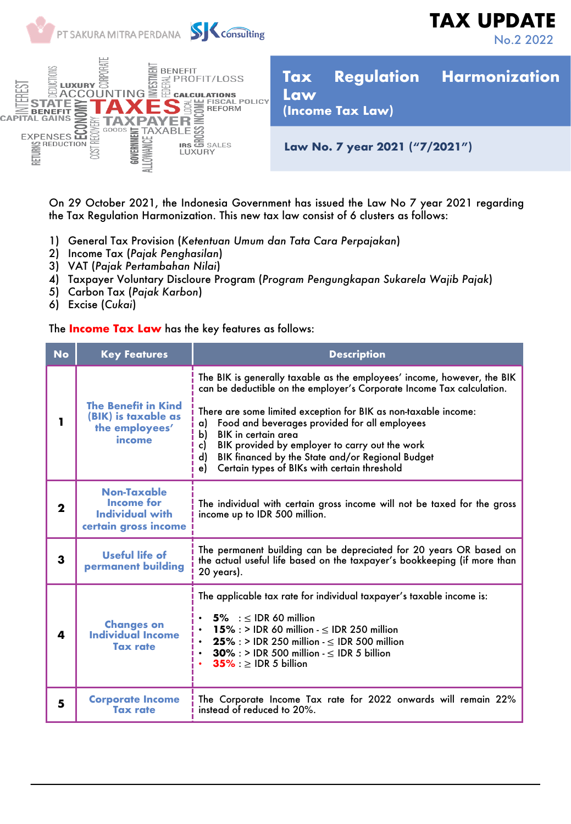

On 29 October 2021, the Indonesia Government has issued the Law No 7 year 2021 regarding the Tax Regulation Harmonization. This new tax law consist of 6 clusters as follows:

- 1) General Tax Provision (*Ketentuan Umum dan Tata Cara Perpajakan*)
- 2) Income Tax (*Pajak Penghasilan*)
- 3) VAT (*Pajak Pertambahan Nilai*)
- 4) Taxpayer Voluntary Discloure Program (*Program Pengungkapan Sukarela Wajib Pajak*)
- 5) Carbon Tax (*Pajak Karbon*)
- 6) Excise (*Cukai*)

## The **Income Tax Law** has the key features as follows:

| <b>No</b>   | <b>Key Features</b>                                                                | <b>Description</b>                                                                                                                                                                                                                                                                                                                                                                                                                                                                        |
|-------------|------------------------------------------------------------------------------------|-------------------------------------------------------------------------------------------------------------------------------------------------------------------------------------------------------------------------------------------------------------------------------------------------------------------------------------------------------------------------------------------------------------------------------------------------------------------------------------------|
|             | <b>The Benefit in Kind</b><br>(BIK) is taxable as<br>the employees'<br>income      | The BIK is generally taxable as the employees' income, however, the BIK<br>can be deductible on the employer's Corporate Income Tax calculation.<br>There are some limited exception for BIK as non-taxable income:<br>Food and beverages provided for all employees<br>a)<br>b)<br>BIK in certain area<br>BIK provided by employer to carry out the work<br>c)<br>$\mathsf{d}$<br>BIK financed by the State and/or Regional Budget<br>Certain types of BIKs with certain threshold<br>e) |
| $\mathbf 2$ | Non-Taxable<br><b>Income for</b><br><b>Individual with</b><br>certain gross income | The individual with certain gross income will not be taxed for the gross<br>income up to IDR 500 million.                                                                                                                                                                                                                                                                                                                                                                                 |
| 3           | <b>Useful life of</b><br>permanent building                                        | The permanent building can be depreciated for 20 years OR based on<br>the actual useful life based on the taxpayer's bookkeeping (if more than<br>20 years).                                                                                                                                                                                                                                                                                                                              |
| 4           | <b>Changes on</b><br><b>Individual Income</b><br><b>Tax rate</b>                   | The applicable tax rate for individual taxpayer's taxable income is:<br>$5\%$ : < IDR 60 million<br>15% : > IDR 60 million - $\leq$ IDR 250 million<br>$25\%$ : > IDR 250 million - $\leq$ IDR 500 million<br>$30\%$ : > IDR 500 million $\leq$ IDR 5 billion<br>$35\%$ : $\geq$ IDR 5 billion                                                                                                                                                                                            |
| 5           | <b>Corporate Income</b><br><b>Tax rate</b>                                         | The Corporate Income Tax rate for 2022 onwards will remain 22%<br>instead of reduced to 20%.                                                                                                                                                                                                                                                                                                                                                                                              |